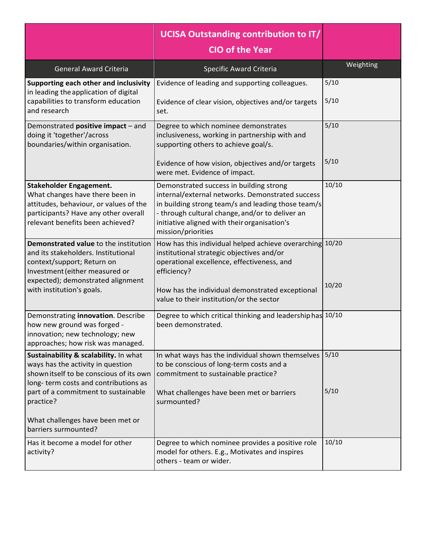|                                                                                                                                                                                                                | UCISA Outstanding contribution to IT/<br><b>CIO of the Year</b>                                                                                                                                                                                                            |                |
|----------------------------------------------------------------------------------------------------------------------------------------------------------------------------------------------------------------|----------------------------------------------------------------------------------------------------------------------------------------------------------------------------------------------------------------------------------------------------------------------------|----------------|
| <b>General Award Criteria</b>                                                                                                                                                                                  | Specific Award Criteria                                                                                                                                                                                                                                                    | Weighting      |
| Supporting each other and inclusivity<br>in leading the application of digital<br>capabilities to transform education<br>and research                                                                          | Evidence of leading and supporting colleagues.<br>Evidence of clear vision, objectives and/or targets<br>set.                                                                                                                                                              | 5/10<br>5/10   |
| Demonstrated positive impact - and<br>doing it 'together'/across<br>boundaries/within organisation.                                                                                                            | Degree to which nominee demonstrates<br>inclusiveness, working in partnership with and<br>supporting others to achieve goal/s.                                                                                                                                             | 5/10           |
|                                                                                                                                                                                                                | Evidence of how vision, objectives and/or targets<br>were met. Evidence of impact.                                                                                                                                                                                         | 5/10           |
| <b>Stakeholder Engagement.</b><br>What changes have there been in<br>attitudes, behaviour, or values of the<br>participants? Have any other overall<br>relevant benefits been achieved?                        | Demonstrated success in building strong<br>internal/external networks. Demonstrated success<br>in building strong team/s and leading those team/s<br>- through cultural change, and/or to deliver an<br>initiative aligned with their organisation's<br>mission/priorities | 10/10          |
| Demonstrated value to the institution<br>and its stakeholders. Institutional<br>context/support; Return on<br>Investment (either measured or<br>expected); demonstrated alignment<br>with institution's goals. | How has this individual helped achieve overarching<br>institutional strategic objectives and/or<br>operational excellence, effectiveness, and<br>efficiency?<br>How has the individual demonstrated exceptional<br>value to their institution/or the sector                | 10/20<br>10/20 |
| Demonstrating innovation. Describe<br>how new ground was forged -<br>innovation; new technology; new<br>approaches; how risk was managed.                                                                      | Degree to which critical thinking and leadership has<br>been demonstrated.                                                                                                                                                                                                 | 10/10          |
| Sustainability & scalability. In what<br>ways has the activity in question<br>shown itself to be conscious of its own<br>long-term costs and contributions as                                                  | In what ways has the individual shown themselves<br>to be conscious of long-term costs and a<br>commitment to sustainable practice?                                                                                                                                        | 5/10           |
| part of a commitment to sustainable<br>practice?<br>What challenges have been met or                                                                                                                           | What challenges have been met or barriers<br>surmounted?                                                                                                                                                                                                                   | 5/10           |
| barriers surmounted?                                                                                                                                                                                           |                                                                                                                                                                                                                                                                            |                |
| Has it become a model for other<br>activity?                                                                                                                                                                   | Degree to which nominee provides a positive role<br>model for others. E.g., Motivates and inspires<br>others - team or wider.                                                                                                                                              | 10/10          |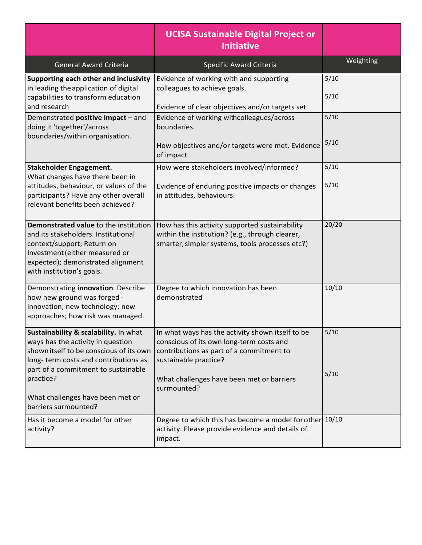|                                                                                                                                                                                                                                                                               | <b>UCISA Sustainable Digital Project or</b><br><b>Initiative</b>                                                                                                                                                              |              |
|-------------------------------------------------------------------------------------------------------------------------------------------------------------------------------------------------------------------------------------------------------------------------------|-------------------------------------------------------------------------------------------------------------------------------------------------------------------------------------------------------------------------------|--------------|
| <b>General Award Criteria</b>                                                                                                                                                                                                                                                 | <b>Specific Award Criteria</b>                                                                                                                                                                                                | Weighting    |
| Supporting each other and inclusivity<br>in leading the application of digital<br>capabilities to transform education<br>and research                                                                                                                                         | Evidence of working with and supporting<br>colleagues to achieve goals.<br>Evidence of clear objectives and/or targets set.                                                                                                   | 5/10<br>5/10 |
| Demonstrated positive impact - and<br>doing it 'together'/across<br>boundaries/within organisation.                                                                                                                                                                           | Evidence of working withcolleagues/across<br>boundaries.<br>How objectives and/or targets were met. Evidence<br>of impact                                                                                                     | 5/10<br>5/10 |
| <b>Stakeholder Engagement.</b><br>What changes have there been in<br>attitudes, behaviour, or values of the<br>participants? Have any other overall<br>relevant benefits been achieved?                                                                                       | How were stakeholders involved/informed?<br>Evidence of enduring positive impacts or changes<br>in attitudes, behaviours.                                                                                                     | 5/10<br>5/10 |
| Demonstrated value to the institution<br>and its stakeholders. Institutional<br>context/support; Return on<br>Investment (either measured or<br>expected); demonstrated alignment<br>with institution's goals.                                                                | How has this activity supported sustainability<br>within the institution? (e.g., through clearer,<br>smarter, simpler systems, tools processes etc?)                                                                          | 20/20        |
| Demonstrating innovation. Describe<br>how new ground was forged -<br>innovation; new technology; new<br>approaches; how risk was managed.                                                                                                                                     | Degree to which innovation has been<br>demonstrated                                                                                                                                                                           | 10/10        |
| Sustainability & scalability. In what<br>ways has the activity in question<br>shown itself to be conscious of its own<br>long-term costs and contributions as<br>part of a commitment to sustainable<br>practice?<br>What challenges have been met or<br>barriers surmounted? | In what ways has the activity shown itself to be<br>conscious of its own long-term costs and<br>contributions as part of a commitment to<br>sustainable practice?<br>What challenges have been met or barriers<br>surmounted? | 5/10<br>5/10 |
| Has it become a model for other<br>activity?                                                                                                                                                                                                                                  | Degree to which this has become a model for other 10/10<br>activity. Please provide evidence and details of<br>impact.                                                                                                        |              |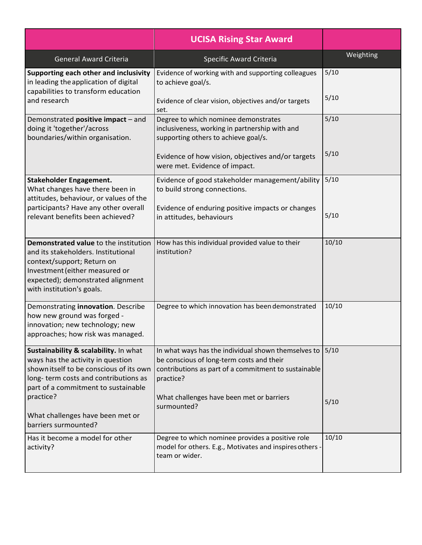|                                                                                                                                                                                                                | <b>UCISA Rising Star Award</b>                                                                                                                                        |              |
|----------------------------------------------------------------------------------------------------------------------------------------------------------------------------------------------------------------|-----------------------------------------------------------------------------------------------------------------------------------------------------------------------|--------------|
| <b>General Award Criteria</b>                                                                                                                                                                                  | <b>Specific Award Criteria</b>                                                                                                                                        | Weighting    |
| Supporting each other and inclusivity<br>in leading the application of digital<br>capabilities to transform education                                                                                          | Evidence of working with and supporting colleagues<br>to achieve goal/s.                                                                                              | 5/10<br>5/10 |
| and research                                                                                                                                                                                                   | Evidence of clear vision, objectives and/or targets<br>set.                                                                                                           |              |
| Demonstrated positive impact - and<br>doing it 'together'/across<br>boundaries/within organisation.                                                                                                            | Degree to which nominee demonstrates<br>inclusiveness, working in partnership with and<br>supporting others to achieve goal/s.                                        | 5/10         |
|                                                                                                                                                                                                                | Evidence of how vision, objectives and/or targets<br>were met. Evidence of impact.                                                                                    | 5/10         |
| <b>Stakeholder Engagement.</b><br>What changes have there been in<br>attitudes, behaviour, or values of the                                                                                                    | Evidence of good stakeholder management/ability<br>to build strong connections.                                                                                       | 5/10         |
| participants? Have any other overall<br>relevant benefits been achieved?                                                                                                                                       | Evidence of enduring positive impacts or changes<br>in attitudes, behaviours                                                                                          | 5/10         |
| Demonstrated value to the institution<br>and its stakeholders. Institutional<br>context/support; Return on<br>Investment (either measured or<br>expected); demonstrated alignment<br>with institution's goals. | How has this individual provided value to their<br>institution?                                                                                                       | 10/10        |
| Demonstrating innovation. Describe<br>how new ground was forged -<br>innovation; new technology; new<br>approaches; how risk was managed.                                                                      | Degree to which innovation has been demonstrated                                                                                                                      | 10/10        |
| Sustainability & scalability. In what<br>ways has the activity in question<br>shown itself to be conscious of its own<br>long-term costs and contributions as<br>part of a commitment to sustainable           | In what ways has the individual shown themselves to<br>be conscious of long-term costs and their<br>contributions as part of a commitment to sustainable<br>practice? | 5/10         |
| practice?<br>What challenges have been met or<br>barriers surmounted?                                                                                                                                          | What challenges have been met or barriers<br>surmounted?                                                                                                              | 5/10         |
| Has it become a model for other<br>activity?                                                                                                                                                                   | Degree to which nominee provides a positive role<br>model for others. E.g., Motivates and inspires others -<br>team or wider.                                         | 10/10        |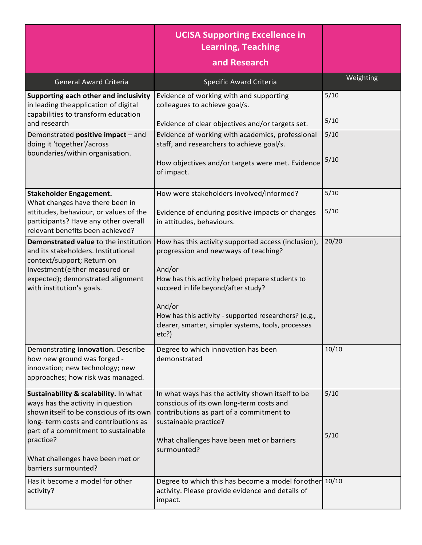|                                                                                                                                                                                                                                                                               | <b>UCISA Supporting Excellence in</b><br><b>Learning, Teaching</b><br>and Research                                                                                                                                                                                                                                                  |              |
|-------------------------------------------------------------------------------------------------------------------------------------------------------------------------------------------------------------------------------------------------------------------------------|-------------------------------------------------------------------------------------------------------------------------------------------------------------------------------------------------------------------------------------------------------------------------------------------------------------------------------------|--------------|
| <b>General Award Criteria</b>                                                                                                                                                                                                                                                 | <b>Specific Award Criteria</b>                                                                                                                                                                                                                                                                                                      | Weighting    |
| Supporting each other and inclusivity<br>in leading the application of digital<br>capabilities to transform education<br>and research                                                                                                                                         | Evidence of working with and supporting<br>colleagues to achieve goal/s.                                                                                                                                                                                                                                                            | 5/10<br>5/10 |
| Demonstrated positive impact - and<br>doing it 'together'/across                                                                                                                                                                                                              | Evidence of clear objectives and/or targets set.<br>Evidence of working with academics, professional<br>staff, and researchers to achieve goal/s.                                                                                                                                                                                   | 5/10         |
| boundaries/within organisation.                                                                                                                                                                                                                                               | How objectives and/or targets were met. Evidence<br>of impact.                                                                                                                                                                                                                                                                      | 5/10         |
| <b>Stakeholder Engagement.</b><br>What changes have there been in                                                                                                                                                                                                             | How were stakeholders involved/informed?                                                                                                                                                                                                                                                                                            | 5/10         |
| attitudes, behaviour, or values of the<br>participants? Have any other overall<br>relevant benefits been achieved?                                                                                                                                                            | Evidence of enduring positive impacts or changes<br>in attitudes, behaviours.                                                                                                                                                                                                                                                       | 5/10         |
| <b>Demonstrated value to the institution</b><br>and its stakeholders. Institutional<br>context/support; Return on<br>Investment (either measured or<br>expected); demonstrated alignment<br>with institution's goals.                                                         | How has this activity supported access (inclusion),<br>progression and new ways of teaching?<br>And/or<br>How has this activity helped prepare students to<br>succeed in life beyond/after study?<br>And/or<br>How has this activity - supported researchers? (e.g.,<br>clearer, smarter, simpler systems, tools, processes<br>etc? | 20/20        |
| Demonstrating innovation. Describe<br>how new ground was forged -<br>innovation; new technology; new<br>approaches; how risk was managed.                                                                                                                                     | Degree to which innovation has been<br>demonstrated                                                                                                                                                                                                                                                                                 | 10/10        |
| Sustainability & scalability. In what<br>ways has the activity in question<br>shown itself to be conscious of its own<br>long-term costs and contributions as<br>part of a commitment to sustainable<br>practice?<br>What challenges have been met or<br>barriers surmounted? | In what ways has the activity shown itself to be<br>conscious of its own long-term costs and<br>contributions as part of a commitment to<br>sustainable practice?<br>What challenges have been met or barriers<br>surmounted?                                                                                                       | 5/10<br>5/10 |
| Has it become a model for other<br>activity?                                                                                                                                                                                                                                  | Degree to which this has become a model for other<br>activity. Please provide evidence and details of<br>impact.                                                                                                                                                                                                                    | 10/10        |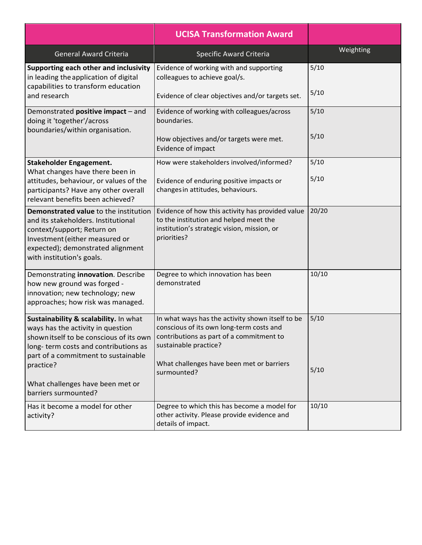|                                                                                                                                                                                                                   | <b>UCISA Transformation Award</b>                                                                                                                                                                                             |              |
|-------------------------------------------------------------------------------------------------------------------------------------------------------------------------------------------------------------------|-------------------------------------------------------------------------------------------------------------------------------------------------------------------------------------------------------------------------------|--------------|
| <b>General Award Criteria</b>                                                                                                                                                                                     | Specific Award Criteria                                                                                                                                                                                                       | Weighting    |
| Supporting each other and inclusivity<br>in leading the application of digital<br>capabilities to transform education                                                                                             | Evidence of working with and supporting<br>colleagues to achieve goal/s.                                                                                                                                                      | 5/10<br>5/10 |
| and research                                                                                                                                                                                                      | Evidence of clear objectives and/or targets set.                                                                                                                                                                              |              |
| Demonstrated positive impact - and<br>doing it 'together'/across<br>boundaries/within organisation.                                                                                                               | Evidence of working with colleagues/across<br>boundaries.                                                                                                                                                                     | 5/10         |
|                                                                                                                                                                                                                   | How objectives and/or targets were met.<br>Evidence of impact                                                                                                                                                                 | 5/10         |
| <b>Stakeholder Engagement.</b><br>What changes have there been in                                                                                                                                                 | How were stakeholders involved/informed?                                                                                                                                                                                      | 5/10         |
| attitudes, behaviour, or values of the<br>participants? Have any other overall<br>relevant benefits been achieved?                                                                                                | Evidence of enduring positive impacts or<br>changes in attitudes, behaviours.                                                                                                                                                 | 5/10         |
| Demonstrated value to the institution<br>and its stakeholders. Institutional<br>context/support; Return on<br>Investment (either measured or<br>expected); demonstrated alignment<br>with institution's goals.    | Evidence of how this activity has provided value<br>to the institution and helped meet the<br>institution's strategic vision, mission, or<br>priorities?                                                                      | 20/20        |
| Demonstrating innovation. Describe<br>how new ground was forged -<br>innovation; new technology; new<br>approaches; how risk was managed.                                                                         | Degree to which innovation has been<br>demonstrated                                                                                                                                                                           | 10/10        |
| Sustainability & scalability. In what<br>ways has the activity in question<br>shown itself to be conscious of its own<br>long-term costs and contributions as<br>part of a commitment to sustainable<br>practice? | In what ways has the activity shown itself to be<br>conscious of its own long-term costs and<br>contributions as part of a commitment to<br>sustainable practice?<br>What challenges have been met or barriers<br>surmounted? | 5/10<br>5/10 |
| What challenges have been met or<br>barriers surmounted?                                                                                                                                                          |                                                                                                                                                                                                                               |              |
| Has it become a model for other<br>activity?                                                                                                                                                                      | Degree to which this has become a model for<br>other activity. Please provide evidence and<br>details of impact.                                                                                                              | 10/10        |